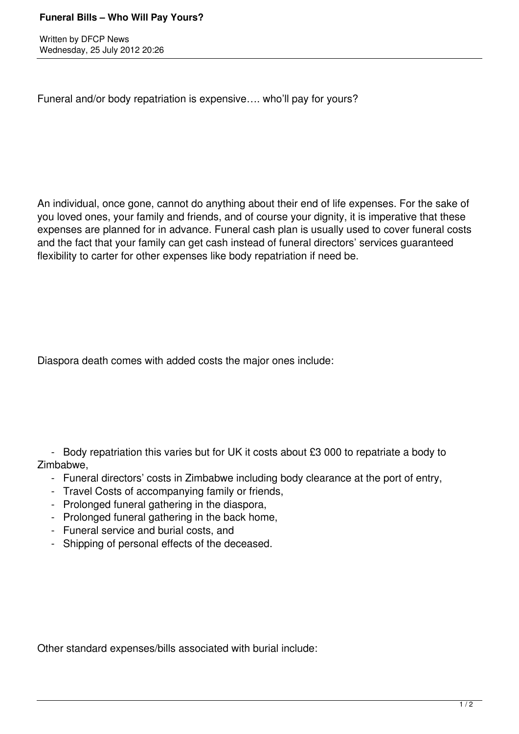Written by DFCP News Wednesday, 25 July 2012 20:26

Funeral and/or body repatriation is expensive…. who'll pay for yours?

An individual, once gone, cannot do anything about their end of life expenses. For the sake of you loved ones, your family and friends, and of course your dignity, it is imperative that these expenses are planned for in advance. Funeral cash plan is usually used to cover funeral costs and the fact that your family can get cash instead of funeral directors' services guaranteed flexibility to carter for other expenses like body repatriation if need be.

Diaspora death comes with added costs the major ones include:

 - Body repatriation this varies but for UK it costs about £3 000 to repatriate a body to Zimbabwe,

- Funeral directors' costs in Zimbabwe including body clearance at the port of entry,
- Travel Costs of accompanying family or friends,
- Prolonged funeral gathering in the diaspora,
- Prolonged funeral gathering in the back home,
- Funeral service and burial costs, and
- Shipping of personal effects of the deceased.

Other standard expenses/bills associated with burial include: